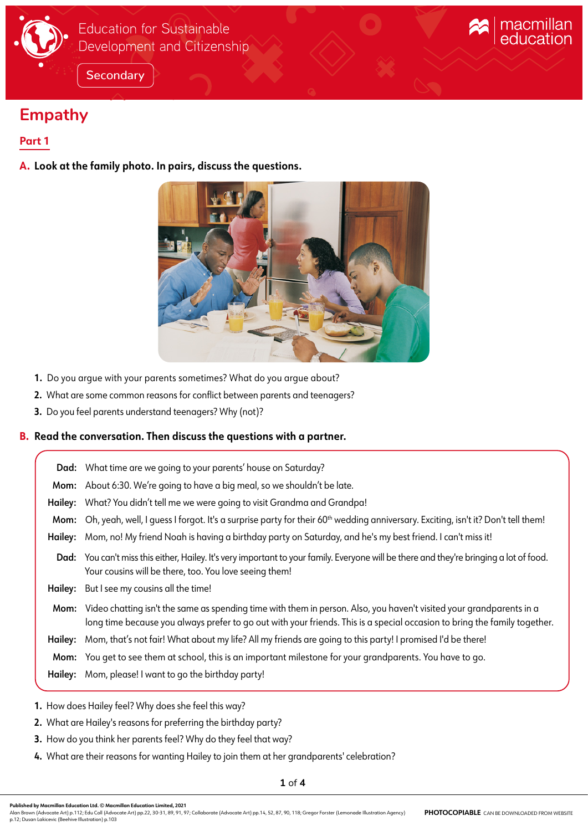

# **Empathy**

## **Part 1**

**A. Look at the family photo. In pairs, discuss the questions.**



macmillan<br>education

- **1.** Do you argue with your parents sometimes? What do you argue about?
- **2.** What are some common reasons for conflict between parents and teenagers?
- **3.** Do you feel parents understand teenagers? Why (not)?

## **B. Read the conversation. Then discuss the questions with a partner.**

|         | Dad: What time are we going to your parents' house on Saturday?                                                                                                                                                                                   |
|---------|---------------------------------------------------------------------------------------------------------------------------------------------------------------------------------------------------------------------------------------------------|
|         | Mom: About 6:30. We're going to have a big meal, so we shouldn't be late.                                                                                                                                                                         |
|         | Hailey: What? You didn't tell me we were going to visit Grandma and Grandpa!                                                                                                                                                                      |
| Mom:    | Oh, yeah, well, I quess I forgot. It's a surprise party for their 60 <sup>th</sup> wedding anniversary. Exciting, isn't it? Don't tell them!                                                                                                      |
|         | Hailey: Mom, no! My friend Noah is having a birthday party on Saturday, and he's my best friend. I can't miss it!                                                                                                                                 |
|         | Dad: You can't miss this either, Hailey. It's very important to your family. Everyone will be there and they're bringing a lot of food.<br>Your cousins will be there, too. You love seeing them!                                                 |
|         | Hailey: But I see my cousins all the time!                                                                                                                                                                                                        |
| Mom:    | Video chatting isn't the same as spending time with them in person. Also, you haven't visited your grandparents in a<br>long time because you always prefer to go out with your friends. This is a special occasion to bring the family together. |
| Hailey: | Mom, that's not fair! What about my life? All my friends are going to this party! I promised I'd be there!                                                                                                                                        |
|         | Mom: You get to see them at school, this is an important milestone for your grandparents. You have to go.                                                                                                                                         |
|         | Hailey: Mom, please! I want to go the birthday party!                                                                                                                                                                                             |

- **1.** How does Hailey feel? Why does she feel this way?
- **2.** What are Hailey's reasons for preferring the birthday party?
- **3.** How do you think her parents feel? Why do they feel that way?
- **4.** What are their reasons for wanting Hailey to join them at her grandparents' celebration?

Alan Brown (Advocate Art) p.112; Edu Coll (Advocate Art) pp.22, 30-31, 89, 91, 97; Collaborate (Advocate Art) pp.14, 52, 87, 90, 118; Gregor Forster (Lemonade Illustration Agency)<br>p.12; Dusan Lakicevic (Beehive Illustratio **PHOTOCOPIABLE** CAN BE DOWNLOADED FROM WEBSITE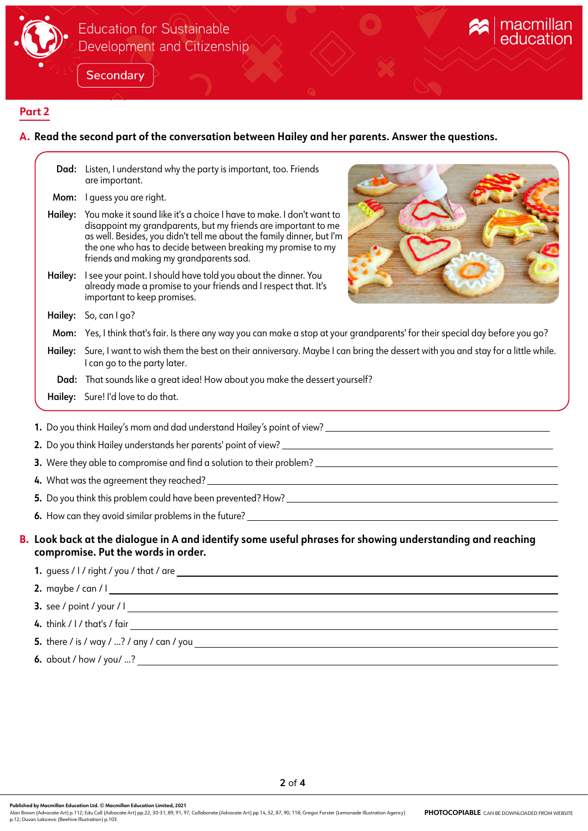

## Education for Sustainable Development and Citizenship

**Secondary** 



## **Part 2**

## **A. Read the second part of the conversation between Hailey and her parents. Answer the questions.**

|                                                                                                                                                  |         | Dad: Listen, I understand why the party is important, too. Friends<br>are important.                                                                                                                                                                                                                                      |  |
|--------------------------------------------------------------------------------------------------------------------------------------------------|---------|---------------------------------------------------------------------------------------------------------------------------------------------------------------------------------------------------------------------------------------------------------------------------------------------------------------------------|--|
|                                                                                                                                                  |         | Mom: I quess you are right.                                                                                                                                                                                                                                                                                               |  |
|                                                                                                                                                  | Hailey: | You make it sound like it's a choice I have to make. I don't want to<br>disappoint my grandparents, but my friends are important to me<br>as well. Besides, you didn't tell me about the family dinner, but I'm<br>the one who has to decide between breaking my promise to my<br>friends and making my grandparents sad. |  |
|                                                                                                                                                  | Hailey: | I see your point. I should have told you about the dinner. You<br>already made a promise to your friends and I respect that. It's<br>important to keep promises.                                                                                                                                                          |  |
|                                                                                                                                                  |         | Hailey: So, can I go?                                                                                                                                                                                                                                                                                                     |  |
|                                                                                                                                                  |         | Mom: Yes, I think that's fair. Is there any way you can make a stop at your grandparents' for their special day before you go?                                                                                                                                                                                            |  |
|                                                                                                                                                  |         | Hailey: Sure, I want to wish them the best on their anniversary. Maybe I can bring the dessert with you and stay for a little while.<br>I can go to the party later.                                                                                                                                                      |  |
|                                                                                                                                                  |         | Dad: That sounds like a great idea! How about you make the dessert yourself?                                                                                                                                                                                                                                              |  |
|                                                                                                                                                  |         | Hailey: Sure! I'd love to do that.                                                                                                                                                                                                                                                                                        |  |
|                                                                                                                                                  |         |                                                                                                                                                                                                                                                                                                                           |  |
|                                                                                                                                                  |         |                                                                                                                                                                                                                                                                                                                           |  |
|                                                                                                                                                  |         |                                                                                                                                                                                                                                                                                                                           |  |
|                                                                                                                                                  |         |                                                                                                                                                                                                                                                                                                                           |  |
|                                                                                                                                                  |         |                                                                                                                                                                                                                                                                                                                           |  |
| B. Look back at the dialogue in A and identify some useful phrases for showing understanding and reaching<br>compromise. Put the words in order. |         |                                                                                                                                                                                                                                                                                                                           |  |
|                                                                                                                                                  |         | 1. guess / I / right / you / that / are                                                                                                                                                                                                                                                                                   |  |

**2.** maybe / can / I

**3.** see / point / your / I

**4.** think / I / that's / fair

**5.** there / is / way / ...? / any / can / you

**6.** about / how / you/ ...?

**Published by Macmillan Education Ltd. © Macmillan Education Limited, 2021**

Alan Brown (Advocate Art) p.112; Edu Coll (Advocate Art) pp.22, 30-31, 89, 91, 97; Collaborate (Advocate Art) pp.14, 52, 87, 90, 118; Gregor Forster (Lemonade Illustration Agency)<br>p.12; Dusan Lakicevic (Beehive Illustratio **PHOTOCOPIABLE** CAN BE DOWNLOADED FROM WEBSITE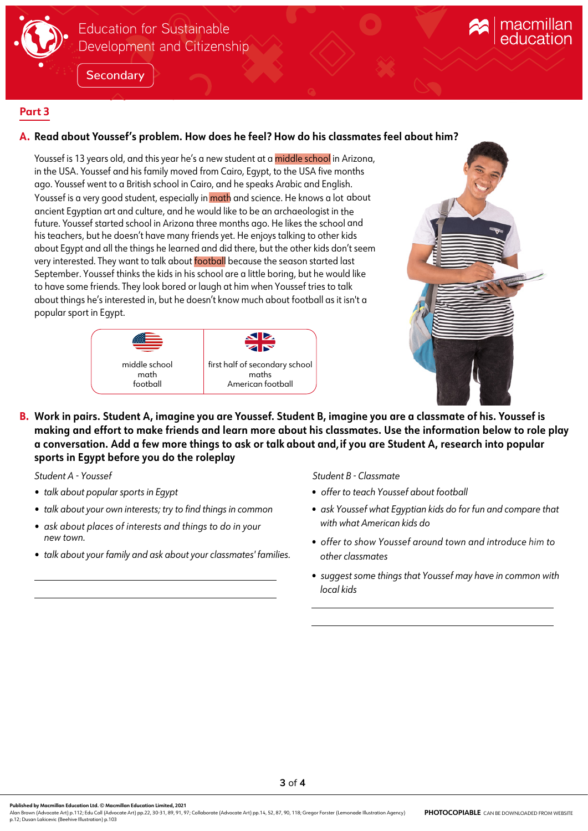

# **Education for Sustainable** Development and Citizenship

**Secondary** 

## **Part 3**

## **A. Read about Youssef's problem. How does he feel? How do his classmates feel about him?**

Youssef is 13 years old, and this year he's a new student at a middle school in Arizona, in the USA. Youssef and his family moved from Cairo, Egypt, to the USA five months ago. Youssef went to a British school in Cairo, and he speaks Arabic and English. Youssef is a very good student, especially in math and science. He knows a lot about ancient Egyptian art and culture, and he would like to be an archaeologist in the future. Youssef started school in Arizona three months ago. He likes the school and his teachers, but he doesn't have many friends yet. He enjoys talking to other kids about Egypt and all the things he learned and did there, but the other kids don't seem very interested. They want to talk about **football** because the season started last September. Youssef thinks the kids in his school are a little boring, but he would like to have some friends. They look bored or laugh at him when Youssef tries to talk about things he's interested in, but he doesn't know much about football as it isn't a popular sport in Egypt.





**B. Work in pairs. Student A, imagine you are Youssef. Student B, imagine you are a classmate of his. Youssef is** making and effort to make friends and learn more about his classmates. Use the information below to role play a conversation. Add a few more things to ask or talk about and, if you are Student A, research into popular **sports in Egypt before you do the roleplay**

- *talk about popular sports in Egypt*
- *talk about your own interests; try to find things in common*
- *ask about places of interests and things to do in your new town.*
- *talk about your family and ask about your classmates' families.*

*Student A - Youssef Student B - Classmate*

- *offer to teach Youssef about football*
- *ask Youssef what Egyptian kids do for fun and compare that with what American kids do*
- *offer to show Youssef around town and introduce him to other classmates*
- *suggest some things that Youssef may have in common with local kids*